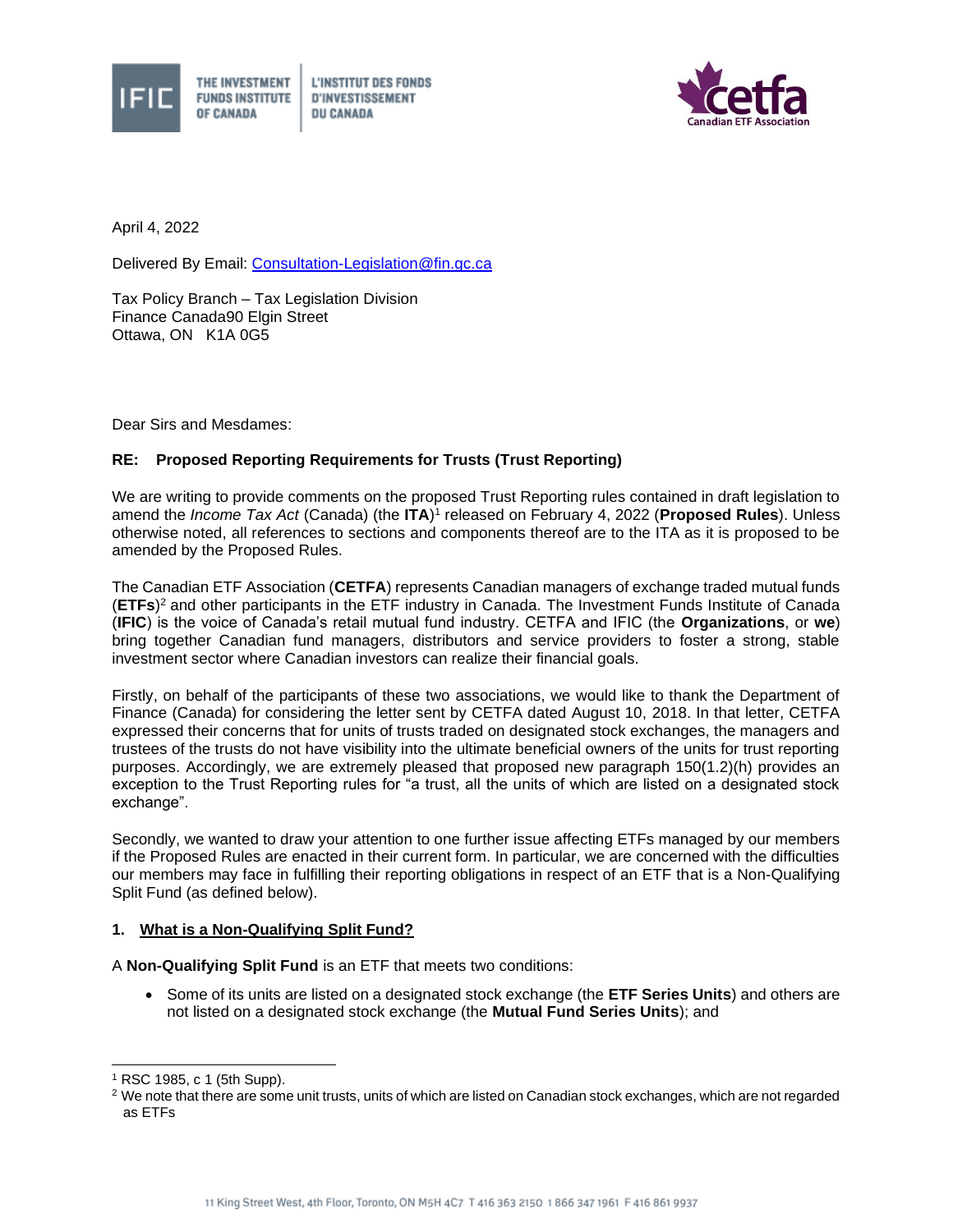



April 4, 2022

Delivered By Email: [Consultation-Legislation@fin.gc.ca](mailto:Consultation-Legislation@fin.gc.ca)

Tax Policy Branch – Tax Legislation Division Finance Canada90 Elgin Street Ottawa, ON K1A 0G5

**OF CANADA** 

Dear Sirs and Mesdames:

## **RE: Proposed Reporting Requirements for Trusts (Trust Reporting)**

We are writing to provide comments on the proposed Trust Reporting rules contained in draft legislation to amend the *Income Tax Act* (Canada) (the ITA)<sup>1</sup> released on February 4, 2022 (Proposed Rules). Unless otherwise noted, all references to sections and components thereof are to the ITA as it is proposed to be amended by the Proposed Rules.

The Canadian ETF Association (**CETFA**) represents Canadian managers of exchange traded mutual funds (**ETFs**) <sup>2</sup> and other participants in the ETF industry in Canada. The Investment Funds Institute of Canada (**IFIC**) is the voice of Canada's retail mutual fund industry. CETFA and IFIC (the **Organizations**, or **we**) bring together Canadian fund managers, distributors and service providers to foster a strong, stable investment sector where Canadian investors can realize their financial goals.

Firstly, on behalf of the participants of these two associations, we would like to thank the Department of Finance (Canada) for considering the letter sent by CETFA dated August 10, 2018. In that letter, CETFA expressed their concerns that for units of trusts traded on designated stock exchanges, the managers and trustees of the trusts do not have visibility into the ultimate beneficial owners of the units for trust reporting purposes. Accordingly, we are extremely pleased that proposed new paragraph 150(1.2)(h) provides an exception to the Trust Reporting rules for "a trust, all the units of which are listed on a designated stock exchange".

Secondly, we wanted to draw your attention to one further issue affecting ETFs managed by our members if the Proposed Rules are enacted in their current form. In particular, we are concerned with the difficulties our members may face in fulfilling their reporting obligations in respect of an ETF that is a Non-Qualifying Split Fund (as defined below).

## **1. What is a Non-Qualifying Split Fund?**

A **Non-Qualifying Split Fund** is an ETF that meets two conditions:

• Some of its units are listed on a designated stock exchange (the **ETF Series Units**) and others are not listed on a designated stock exchange (the **Mutual Fund Series Units**); and

<sup>1</sup> RSC 1985, c 1 (5th Supp).

<sup>&</sup>lt;sup>2</sup> We note that there are some unit trusts, units of which are listed on Canadian stock exchanges, which are not regarded as ETFs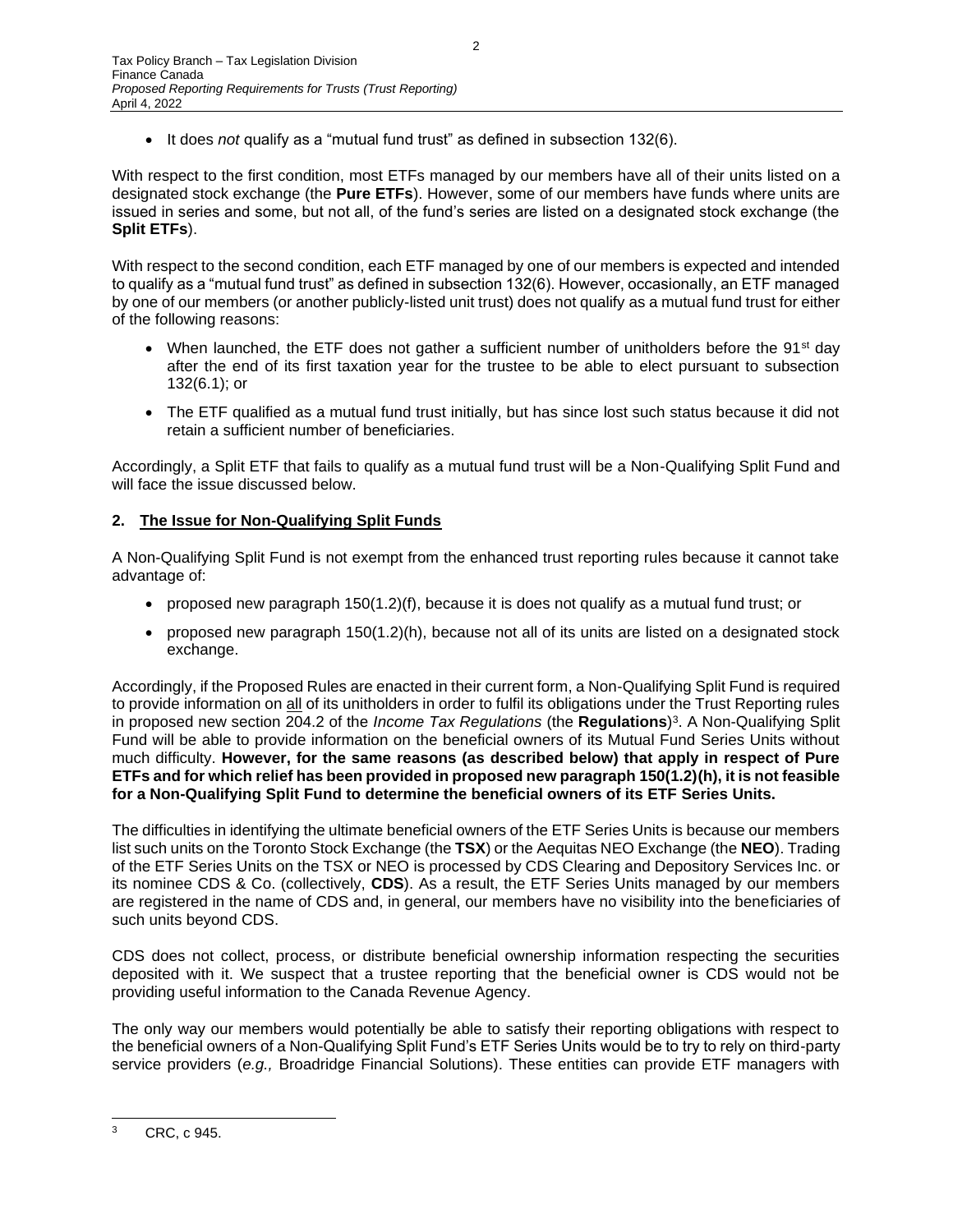• It does *not* qualify as a "mutual fund trust" as defined in subsection 132(6).

With respect to the first condition, most ETFs managed by our members have all of their units listed on a designated stock exchange (the **Pure ETFs**). However, some of our members have funds where units are issued in series and some, but not all, of the fund's series are listed on a designated stock exchange (the **Split ETFs**).

With respect to the second condition, each ETF managed by one of our members is expected and intended to qualify as a "mutual fund trust" as defined in subsection 132(6). However, occasionally, an ETF managed by one of our members (or another publicly-listed unit trust) does not qualify as a mutual fund trust for either of the following reasons:

- When launched, the ETF does not gather a sufficient number of unitholders before the 91<sup>st</sup> day after the end of its first taxation year for the trustee to be able to elect pursuant to subsection 132(6.1); or
- The ETF qualified as a mutual fund trust initially, but has since lost such status because it did not retain a sufficient number of beneficiaries.

Accordingly, a Split ETF that fails to qualify as a mutual fund trust will be a Non-Qualifying Split Fund and will face the issue discussed below.

## **2. The Issue for Non-Qualifying Split Funds**

A Non-Qualifying Split Fund is not exempt from the enhanced trust reporting rules because it cannot take advantage of:

- proposed new paragraph  $150(1.2)(f)$ , because it is does not qualify as a mutual fund trust; or
- proposed new paragraph 150(1.2)(h), because not all of its units are listed on a designated stock exchange.

Accordingly, if the Proposed Rules are enacted in their current form, a Non-Qualifying Split Fund is required to provide information on all of its unitholders in order to fulfil its obligations under the Trust Reporting rules in proposed new section 204.2 of the *Income Tax Regulations* (the **Regulations**) 3 . A Non-Qualifying Split Fund will be able to provide information on the beneficial owners of its Mutual Fund Series Units without much difficulty. **However, for the same reasons (as described below) that apply in respect of Pure ETFs and for which relief has been provided in proposed new paragraph 150(1.2)(h), it is not feasible for a Non-Qualifying Split Fund to determine the beneficial owners of its ETF Series Units.** 

The difficulties in identifying the ultimate beneficial owners of the ETF Series Units is because our members list such units on the Toronto Stock Exchange (the **TSX**) or the Aequitas NEO Exchange (the **NEO**). Trading of the ETF Series Units on the TSX or NEO is processed by CDS Clearing and Depository Services Inc. or its nominee CDS & Co. (collectively, **CDS**). As a result, the ETF Series Units managed by our members are registered in the name of CDS and, in general, our members have no visibility into the beneficiaries of such units beyond CDS.

CDS does not collect, process, or distribute beneficial ownership information respecting the securities deposited with it. We suspect that a trustee reporting that the beneficial owner is CDS would not be providing useful information to the Canada Revenue Agency.

The only way our members would potentially be able to satisfy their reporting obligations with respect to the beneficial owners of a Non-Qualifying Split Fund's ETF Series Units would be to try to rely on third-party service providers (*e.g.,* Broadridge Financial Solutions). These entities can provide ETF managers with

<sup>3</sup> CRC, c 945.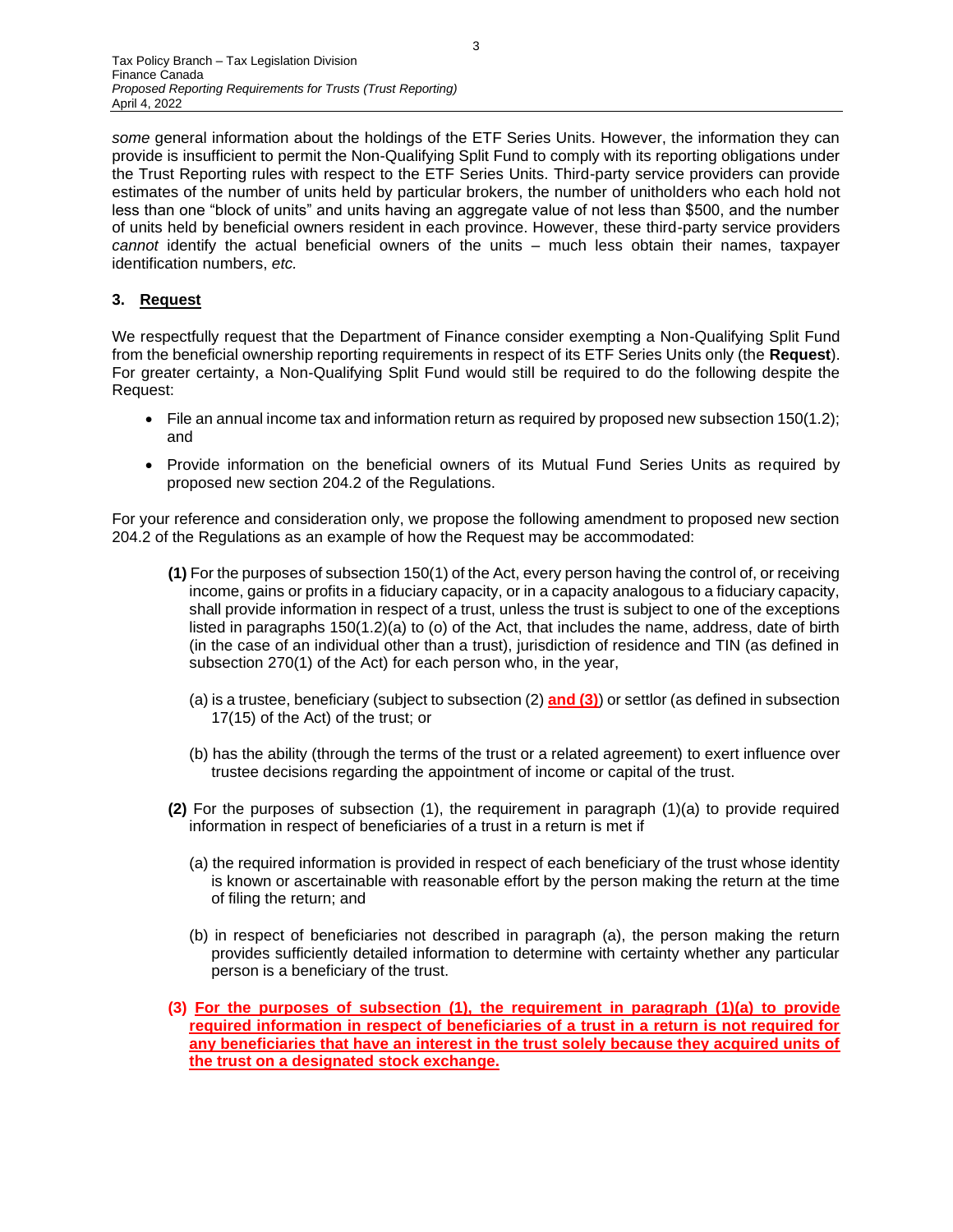some general information about the holdings of the ETF Series Units. However, the information they can provide is insufficient to permit the Non-Qualifying Split Fund to comply with its reporting obligations under the Trust Reporting rules with respect to the ETF Series Units. Third-party service providers can provide estimates of the number of units held by particular brokers, the number of unitholders who each hold not less than one "block of units" and units having an aggregate value of not less than \$500, and the number of units held by beneficial owners resident in each province. However, these third-party service providers *cannot* identify the actual beneficial owners of the units – much less obtain their names, taxpayer identification numbers, *etc.*

## **3. Request**

We respectfully request that the Department of Finance consider exempting a Non-Qualifying Split Fund from the beneficial ownership reporting requirements in respect of its ETF Series Units only (the **Request**). For greater certainty, a Non-Qualifying Split Fund would still be required to do the following despite the Request:

- File an annual income tax and information return as required by proposed new subsection 150(1.2); and
- Provide information on the beneficial owners of its Mutual Fund Series Units as required by proposed new section 204.2 of the Regulations.

For your reference and consideration only, we propose the following amendment to proposed new section 204.2 of the Regulations as an example of how the Request may be accommodated:

- **(1)** For the purposes of subsection 150(1) of the Act, every person having the control of, or receiving income, gains or profits in a fiduciary capacity, or in a capacity analogous to a fiduciary capacity, shall provide information in respect of a trust, unless the trust is subject to one of the exceptions listed in paragraphs 150(1.2)(a) to (o) of the Act, that includes the name, address, date of birth (in the case of an individual other than a trust), jurisdiction of residence and TIN (as defined in subsection 270(1) of the Act) for each person who, in the year,
	- (a) is a trustee, beneficiary (subject to subsection (2) **and (3)**) or settlor (as defined in subsection 17(15) of the Act) of the trust; or
	- (b) has the ability (through the terms of the trust or a related agreement) to exert influence over trustee decisions regarding the appointment of income or capital of the trust.
- **(2)** For the purposes of subsection (1), the requirement in paragraph (1)(a) to provide required information in respect of beneficiaries of a trust in a return is met if
	- (a) the required information is provided in respect of each beneficiary of the trust whose identity is known or ascertainable with reasonable effort by the person making the return at the time of filing the return; and
	- (b) in respect of beneficiaries not described in paragraph (a), the person making the return provides sufficiently detailed information to determine with certainty whether any particular person is a beneficiary of the trust.
- **(3) For the purposes of subsection (1), the requirement in paragraph (1)(a) to provide required information in respect of beneficiaries of a trust in a return is not required for any beneficiaries that have an interest in the trust solely because they acquired units of the trust on a designated stock exchange.**